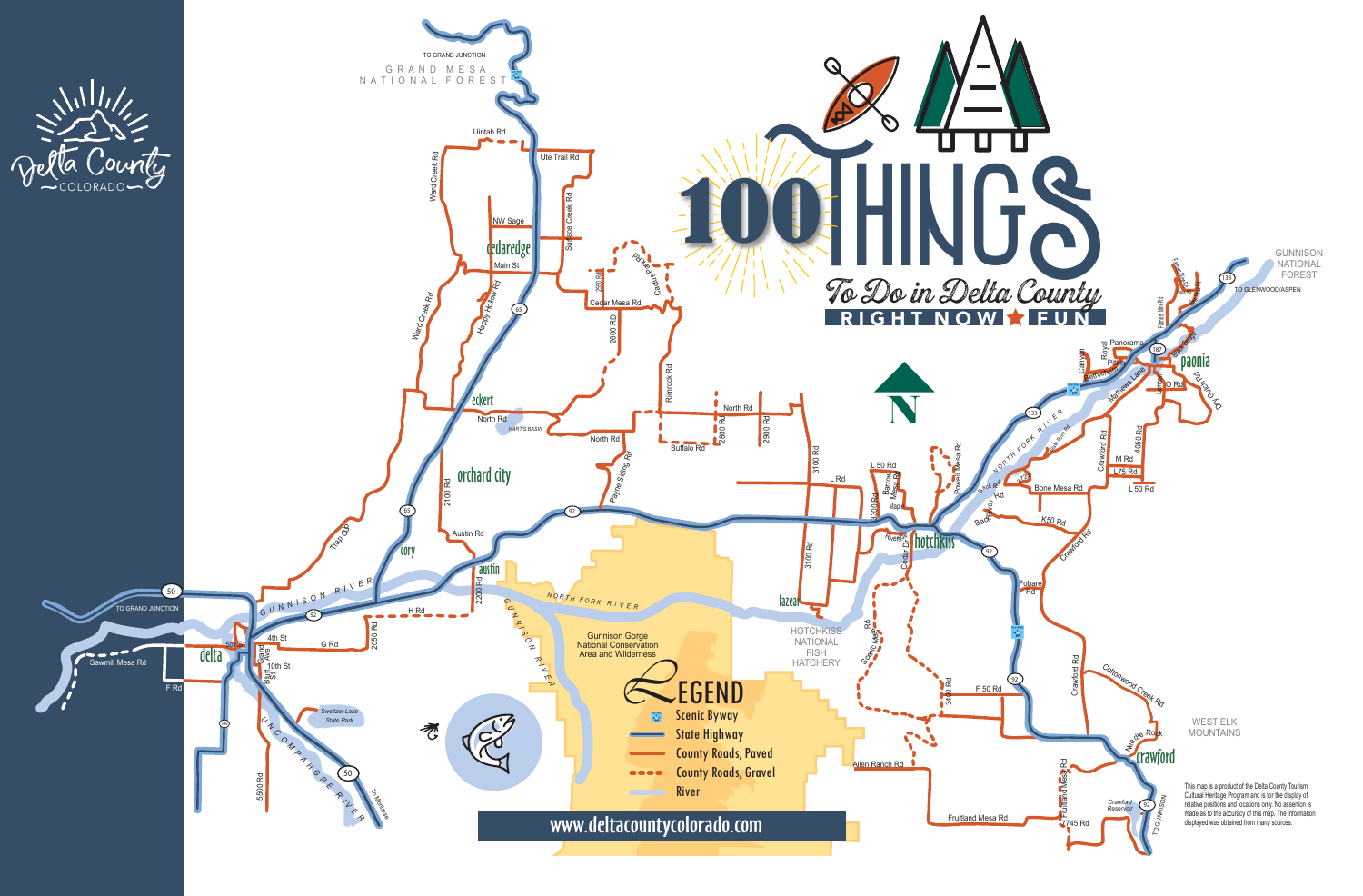